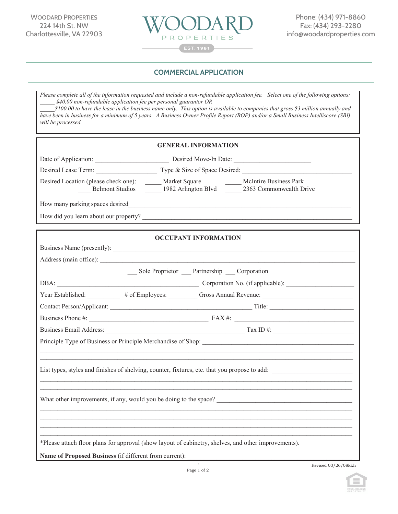

## **COMMERCIAL APPLICATION** *Serving Charlottesville Businesses, Students & the Community Since 1981*

COMMERCIAL LEASE APPLICATION

*Please complete all of the information requested and include a non-refundable application fee. Select one of the following options: \_\_\_\_\_ \$40.00 non-refundable application fee per personal guarantor OR*

*\_\_\_\_\_\$100.00 to have the lease in the business name only. This option is available to companies that gross \$3 million annually and have been in business for a minimum of 5 years. A Business Owner Profile Report (BOP) and/or a Small Business Intelliscore (SBI) will be processed.* 

| <b>GENERAL INFORMATION</b>                                                                                                                                              |  |  |  |
|-------------------------------------------------------------------------------------------------------------------------------------------------------------------------|--|--|--|
| Date of Application: Desired Move-In Date: 2008. [2016] Desired Move-In Date:                                                                                           |  |  |  |
|                                                                                                                                                                         |  |  |  |
| Desired Location (please check one): ______ Market Square _______ McIntire Business Park<br>Belmont Studios _______ 1982 Arlington Blvd _______ 2363 Commonwealth Drive |  |  |  |
|                                                                                                                                                                         |  |  |  |
|                                                                                                                                                                         |  |  |  |
|                                                                                                                                                                         |  |  |  |
| <b>OCCUPANT INFORMATION</b>                                                                                                                                             |  |  |  |
|                                                                                                                                                                         |  |  |  |
| __ Sole Proprietor __ Partnership __ Corporation                                                                                                                        |  |  |  |
| DBA: Corporation No. (if applicable):                                                                                                                                   |  |  |  |
| Year Established: # of Employees: Gross Annual Revenue:                                                                                                                 |  |  |  |
|                                                                                                                                                                         |  |  |  |
|                                                                                                                                                                         |  |  |  |
|                                                                                                                                                                         |  |  |  |
|                                                                                                                                                                         |  |  |  |
|                                                                                                                                                                         |  |  |  |
| List types, styles and finishes of shelving, counter, fixtures, etc. that you propose to add:                                                                           |  |  |  |
| What other improvements, if any, would you be doing to the space?                                                                                                       |  |  |  |
| ,我们也不会有什么。""我们的人,我们也不会有什么?""我们的人,我们也不会有什么?""我们的人,我们也不会有什么?""我们的人,我们也不会有什么?""我们的人                                                                                        |  |  |  |
| *Please attach floor plans for approval (show layout of cabinetry, shelves, and other improvements).                                                                    |  |  |  |
| Name of Proposed Business (if different from current):                                                                                                                  |  |  |  |
| Revised 03/26/08kkh                                                                                                                                                     |  |  |  |